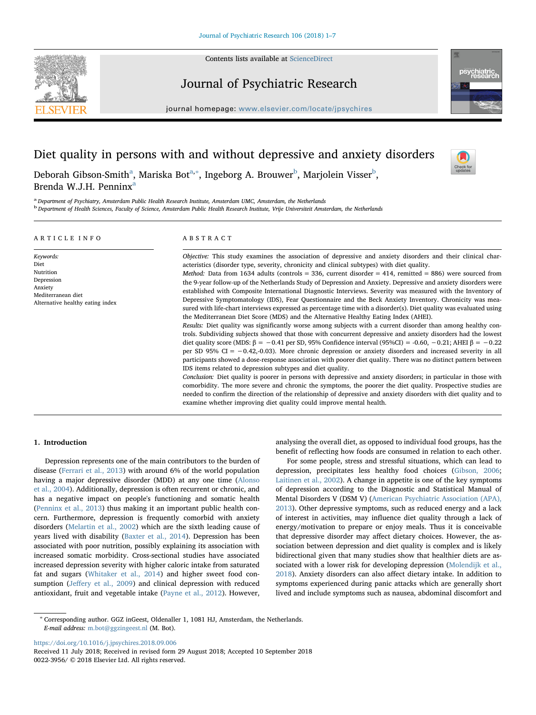

Contents lists available at [ScienceDirect](http://www.sciencedirect.com/science/journal/00223956)

# Journal of Psychiatric Research





# Diet quality in persons with and without depressive and anxiety disorders

Check for<br>updates

Brend[a](#page-0-0) W.J.H. Penninx<sup>a</sup> a<br>Department of Psychiatry, Amsterdam Public Health Research Institute, Amsterdam UMC, Amsterdam, the Netherlands

Debor[a](#page-0-0)h Gi[b](#page-0-2)son-Smith $^{\rm a}$ , Mariska Bot $^{\rm a, *},$  $^{\rm a, *},$  $^{\rm a, *},$  Ingeborg A. Brouwer $^{\rm b}$ , Marjolein Visser $^{\rm b}$ ,

<span id="page-0-2"></span><span id="page-0-0"></span><sup>b</sup> Department of Health Sciences, Faculty of Science, Amsterdam Public Health Research Institute, Vrije Universiteit Amsterdam, the Netherlands

| ARTICLE INFO                                                                                                      | ABSTRACT                                                                                                                                                                                                                                                                                                                                                                                                                                                                                                                                                                                                                                                                                                                                                                                                                                                                                                                                                                                                                                                                                                                                                                                                                                                                                                                                                                                                                                                                                                                                                                                                                                                         |
|-------------------------------------------------------------------------------------------------------------------|------------------------------------------------------------------------------------------------------------------------------------------------------------------------------------------------------------------------------------------------------------------------------------------------------------------------------------------------------------------------------------------------------------------------------------------------------------------------------------------------------------------------------------------------------------------------------------------------------------------------------------------------------------------------------------------------------------------------------------------------------------------------------------------------------------------------------------------------------------------------------------------------------------------------------------------------------------------------------------------------------------------------------------------------------------------------------------------------------------------------------------------------------------------------------------------------------------------------------------------------------------------------------------------------------------------------------------------------------------------------------------------------------------------------------------------------------------------------------------------------------------------------------------------------------------------------------------------------------------------------------------------------------------------|
| Keywords:<br>Diet<br>Nutrition<br>Depression<br>Anxiety<br>Mediterranean diet<br>Alternative healthy eating index | Objective: This study examines the association of depressive and anxiety disorders and their clinical char-<br>acteristics (disorder type, severity, chronicity and clinical subtypes) with diet quality.<br><i>Method:</i> Data from 1634 adults (controls = 336, current disorder = 414, remitted = 886) were sourced from<br>the 9-year follow-up of the Netherlands Study of Depression and Anxiety. Depressive and anxiety disorders were<br>established with Composite International Diagnostic Interviews. Severity was measured with the Inventory of<br>Depressive Symptomatology (IDS), Fear Questionnaire and the Beck Anxiety Inventory. Chronicity was mea-<br>sured with life-chart interviews expressed as percentage time with a disorder(s). Diet quality was evaluated using<br>the Mediterranean Diet Score (MDS) and the Alternative Healthy Eating Index (AHEI).<br>Results: Diet quality was significantly worse among subjects with a current disorder than among healthy con-<br>trols. Subdividing subjects showed that those with concurrent depressive and anxiety disorders had the lowest<br>diet quality score (MDS: $\beta = -0.41$ per SD, 95% Confidence interval (95%CI) = -0.60, -0.21; AHEI $\beta = -0.22$<br>per SD 95% CI = -0.42,-0.03). More chronic depression or anxiety disorders and increased severity in all<br>participants showed a dose-response association with poorer diet quality. There was no distinct pattern between<br>IDS items related to depression subtypes and diet quality.<br>Conclusion: Diet quality is poorer in persons with depressive and anxiety disorders; in particular in those with |

comorbidity. The more severe and chronic the symptoms, the poorer the diet quality. Prospective studies are needed to confirm the direction of the relationship of depressive and anxiety disorders with diet quality and to examine whether improving diet quality could improve mental health.

# 1. Introduction

Depression represents one of the main contributors to the burden of disease ([Ferrari et al., 2013\)](#page-5-0) with around 6% of the world population having a major depressive disorder (MDD) at any one time ([Alonso](#page-5-1) [et al., 2004](#page-5-1)). Additionally, depression is often recurrent or chronic, and has a negative impact on people's functioning and somatic health ([Penninx et al., 2013](#page-6-0)) thus making it an important public health concern. Furthermore, depression is frequently comorbid with anxiety disorders ([Melartin et al., 2002\)](#page-6-1) which are the sixth leading cause of years lived with disability [\(Baxter et al., 2014](#page-5-2)). Depression has been associated with poor nutrition, possibly explaining its association with increased somatic morbidity. Cross-sectional studies have associated increased depression severity with higher caloric intake from saturated fat and sugars ([Whitaker et al., 2014](#page-6-2)) and higher sweet food consumption (Jeff[ery et al., 2009\)](#page-6-3) and clinical depression with reduced antioxidant, fruit and vegetable intake [\(Payne et al., 2012\)](#page-6-4). However, analysing the overall diet, as opposed to individual food groups, has the benefit of reflecting how foods are consumed in relation to each other.

For some people, stress and stressful situations, which can lead to depression, precipitates less healthy food choices [\(Gibson, 2006](#page-5-3); [Laitinen et al., 2002](#page-6-5)). A change in appetite is one of the key symptoms of depression according to the Diagnostic and Statistical Manual of Mental Disorders V (DSM V) ([American Psychiatric Association \(APA\),](#page-5-4) [2013\)](#page-5-4). Other depressive symptoms, such as reduced energy and a lack of interest in activities, may influence diet quality through a lack of energy/motivation to prepare or enjoy meals. Thus it is conceivable that depressive disorder may affect dietary choices. However, the association between depression and diet quality is complex and is likely bidirectional given that many studies show that healthier diets are associated with a lower risk for developing depression [\(Molendijk et al.,](#page-6-6) [2018\)](#page-6-6). Anxiety disorders can also affect dietary intake. In addition to symptoms experienced during panic attacks which are generally short lived and include symptoms such as nausea, abdominal discomfort and

<https://doi.org/10.1016/j.jpsychires.2018.09.006>

<span id="page-0-1"></span><sup>∗</sup> Corresponding author. GGZ inGeest, Oldenaller 1, 1081 HJ, Amsterdam, the Netherlands. E-mail address: [m.bot@ggzingeest.nl](mailto:m.bot@ggzingeest.nl) (M. Bot).

Received 11 July 2018; Received in revised form 29 August 2018; Accepted 10 September 2018 0022-3956/ © 2018 Elsevier Ltd. All rights reserved.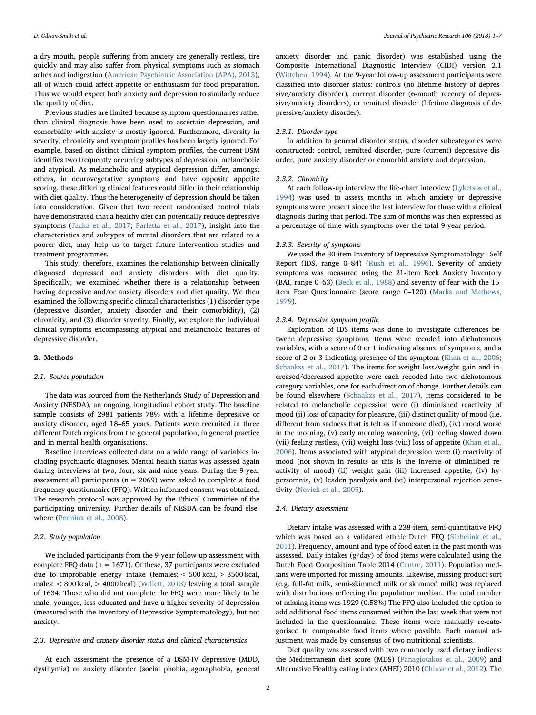a dry mouth, people suffering from anxiety are generally restless, tire quickly and may also suffer from physical symptoms such as stomach aches and indigestion [\(American Psychiatric Association \(APA\), 2013](#page-5-4)), all of which could affect appetite or enthusiasm for food preparation. Thus we would expect both anxiety and depression to similarly reduce the quality of diet.

Previous studies are limited because symptom questionnaires rather than clinical diagnosis have been used to ascertain depression, and comorbidity with anxiety is mostly ignored. Furthermore, diversity in severity, chronicity and symptom profiles has been largely ignored. For example, based on distinct clinical symptom profiles, the current DSM identifies two frequently occurring subtypes of depression: melancholic and atypical. As melancholic and atypical depression differ, amongst others, in neurovegetative symptoms and have opposite appetite scoring, these differing clinical features could differ in their relationship with diet quality. Thus the heterogeneity of depression should be taken into consideration. Given that two recent randomised control trials have demonstrated that a healthy diet can potentially reduce depressive symptoms ([Jacka et al., 2017](#page-6-7); [Parletta et al., 2017](#page-6-8)), insight into the characteristics and subtypes of mental disorders that are related to a poorer diet, may help us to target future intervention studies and treatment programmes.

This study, therefore, examines the relationship between clinically diagnosed depressed and anxiety disorders with diet quality. Specifically, we examined whether there is a relationship between having depressive and/or anxiety disorders and diet quality. We then examined the following specific clinical characteristics (1) disorder type (depressive disorder, anxiety disorder and their comorbidity), (2) chronicity, and (3) disorder severity. Finally, we explore the individual clinical symptoms encompassing atypical and melancholic features of depressive disorder.

## 2. Methods

## 2.1. Source population

The data was sourced from the Netherlands Study of Depression and Anxiety (NESDA), an ongoing, longitudinal cohort study. The baseline sample consists of 2981 patients 78% with a lifetime depressive or anxiety disorder, aged 18–65 years. Patients were recruited in three different Dutch regions from the general population, in general practice and in mental health organisations.

Baseline interviews collected data on a wide range of variables including psychiatric diagnoses. Mental health status was assessed again during interviews at two, four, six and nine years. During the 9-year assessment all participants ( $n = 2069$ ) were asked to complete a food frequency questionnaire (FFQ). Written informed consent was obtained. The research protocol was approved by the Ethical Committee of the participating university. Further details of NESDA can be found elsewhere [\(Penninx et al., 2008\)](#page-6-9).

# 2.2. Study population

We included participants from the 9-year follow-up assessment with complete FFQ data ( $n = 1671$ ). Of these, 37 participants were excluded due to improbable energy intake (females: < 500 kcal, > 3500 kcal, males: < 800 kcal, > 4000 kcal) ([Willett, 2013\)](#page-6-10) leaving a total sample of 1634. Those who did not complete the FFQ were more likely to be male, younger, less educated and have a higher severity of depression (measured with the Inventory of Depressive Symptomatology), but not anxiety.

## 2.3. Depressive and anxiety disorder status and clinical characteristics

At each assessment the presence of a DSM-IV depressive (MDD, dysthymia) or anxiety disorder (social phobia, agoraphobia, general

anxiety disorder and panic disorder) was established using the Composite International Diagnostic Interview (CIDI) version 2.1 ([Wittchen, 1994\)](#page-6-11). At the 9-year follow-up assessment participants were classified into disorder status: controls (no lifetime history of depressive/anxiety disorder), current disorder (6-month recency of depressive/anxiety disorders), or remitted disorder (lifetime diagnosis of depressive/anxiety disorder).

# 2.3.1. Disorder type

In addition to general disorder status, disorder subcategories were constructed: control, remitted disorder, pure (current) depressive disorder, pure anxiety disorder or comorbid anxiety and depression.

## 2.3.2. Chronicity

At each follow-up interview the life-chart interview ([Lyketsos et al.,](#page-6-12) [1994\)](#page-6-12) was used to assess months in which anxiety or depressive symptoms were present since the last interview for those with a clinical diagnosis during that period. The sum of months was then expressed as a percentage of time with symptoms over the total 9-year period.

## 2.3.3. Severity of symptoms

We used the 30-item Inventory of Depressive Symptomatology - Self Report (IDS, range 0–84) ([Rush et al., 1996\)](#page-6-13). Severity of anxiety symptoms was measured using the 21-item Beck Anxiety Inventory (BAI, range 0–63) ([Beck et al., 1988](#page-5-5)) and severity of fear with the 15 item Fear Questionnaire (score range 0–120) ([Marks and Mathews,](#page-6-14) [1979\)](#page-6-14).

## 2.3.4. Depressive symptom profile

Exploration of IDS items was done to investigate differences between depressive symptoms. Items were recoded into dichotomous variables, with a score of 0 or 1 indicating absence of symptoms, and a score of 2 or 3 indicating presence of the symptom ([Khan et al., 2006](#page-6-15); [Schaakxs et al., 2017](#page-6-16)). The items for weight loss/weight gain and increased/decreased appetite were each recoded into two dichotomous category variables, one for each direction of change. Further details can be found elsewhere [\(Schaakxs et al., 2017](#page-6-16)). Items considered to be related to melancholic depression were (i) diminished reactivity of mood (ii) loss of capacity for pleasure, (iii) distinct quality of mood (i.e. different from sadness that is felt as if someone died), (iv) mood worse in the morning, (v) early morning wakening, (vi) feeling slowed down (vii) feeling restless, (vii) weight loss (viii) loss of appetite [\(Khan et al.,](#page-6-15) [2006\)](#page-6-15). Items associated with atypical depression were (i) reactivity of mood (not shown in results as this is the inverse of diminished reactivity of mood) (ii) weight gain (iii) increased appetite, (iv) hypersomnia, (v) leaden paralysis and (vi) interpersonal rejection sensitivity ([Novick et al., 2005](#page-6-17)).

## 2.4. Dietary assessment

Dietary intake was assessed with a 238-item, semi-quantitative FFQ which was based on a validated ethnic Dutch FFQ [\(Siebelink et al.,](#page-6-18) [2011\)](#page-6-18). Frequency, amount and type of food eaten in the past month was assessed. Daily intakes (g/day) of food items were calculated using the Dutch Food Composition Table 2014 [\(Centre, 2011\)](#page-5-6). Population medians were imported for missing amounts. Likewise, missing product sort (e.g. full-fat milk, semi-skimmed milk or skimmed milk) was replaced with distributions reflecting the population median. The total number of missing items was 1929 (0.58%) The FFQ also included the option to add additional food items consumed within the last week that were not included in the questionnaire. These items were manually re-categorised to comparable food items where possible. Each manual adjustment was made by consensus of two nutritional scientists.

Diet quality was assessed with two commonly used dietary indices: the Mediterranean diet score (MDS) ([Panagiotakos et al., 2009\)](#page-6-19) and Alternative Healthy eating index (AHEI) 2010 ([Chiuve et al., 2012](#page-5-7)). The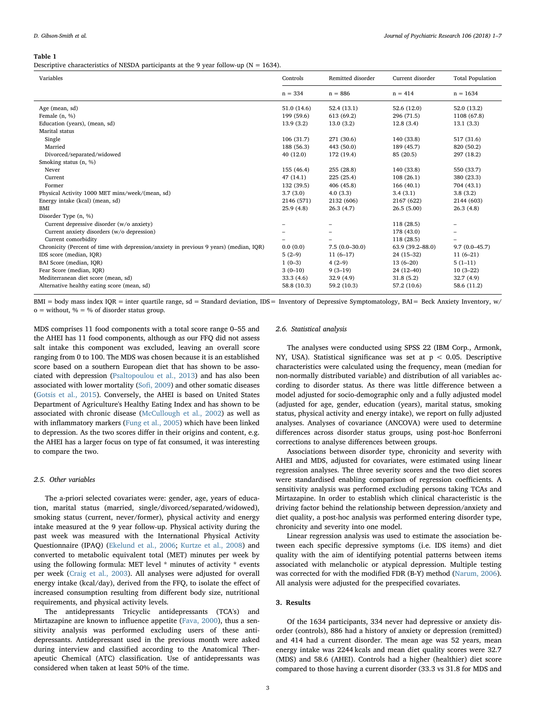#### <span id="page-2-0"></span>Table 1

Descriptive characteristics of NESDA participants at the 9 year follow-up ( $N = 1634$ ).

| Variables                                                                              | Controls    | Remitted disorder | Current disorder | <b>Total Population</b> |
|----------------------------------------------------------------------------------------|-------------|-------------------|------------------|-------------------------|
|                                                                                        | $n = 334$   | $n = 886$         | $n = 414$        | $n = 1634$              |
| Age (mean, sd)                                                                         | 51.0 (14.6) | 52.4(13.1)        | 52.6 (12.0)      | 52.0 (13.2)             |
| Female $(n, %)$                                                                        | 199 (59.6)  | 613 (69.2)        | 296 (71.5)       | 1108 (67.8)             |
| Education (years), (mean, sd)                                                          | 13.9(3.2)   | 13.0(3.2)         | 12.8(3.4)        | 13.1(3.3)               |
| Marital status                                                                         |             |                   |                  |                         |
| Single                                                                                 | 106(31.7)   | 271 (30.6)        | 140 (33.8)       | 517 (31.6)              |
| Married                                                                                | 188 (56.3)  | 443 (50.0)        | 189 (45.7)       | 820 (50.2)              |
| Divorced/separated/widowed                                                             | 40(12.0)    | 172 (19.4)        | 85 (20.5)        | 297 (18.2)              |
| Smoking status (n, %)                                                                  |             |                   |                  |                         |
| Never                                                                                  | 155 (46.4)  | 255 (28.8)        | 140 (33.8)       | 550 (33.7)              |
| Current                                                                                | 47(14.1)    | 225 (25.4)        | 108(26.1)        | 380 (23.3)              |
| Former                                                                                 | 132 (39.5)  | 406 (45.8)        | 166(40.1)        | 704 (43.1)              |
| Physical Activity 1000 MET mins/week/(mean, sd)                                        | 3.7(3.0)    | 4.0(3.3)          | 3.4(3.1)         | 3.8(3.2)                |
| Energy intake (kcal) (mean, sd)                                                        | 2146 (571)  | 2132 (606)        | 2167 (622)       | 2144 (603)              |
| <b>BMI</b>                                                                             | 25.9(4.8)   | 26.3(4.7)         | 26.5(5.00)       | 26.3(4.8)               |
| Disorder Type (n, %)                                                                   |             |                   |                  |                         |
| Current depressive disorder (w/o anxiety)                                              |             | -                 | 118 (28.5)       | -                       |
| Current anxiety disorders (w/o depression)                                             |             |                   | 178 (43.0)       |                         |
| Current comorbidity                                                                    |             |                   | 118 (28.5)       |                         |
| Chronicity (Percent of time with depression/anxiety in previous 9 years) (median, IQR) | 0.0(0.0)    | $7.5(0.0-30.0)$   | 63.9 (39.2-88.0) | $9.7(0.0 - 45.7)$       |
| IDS score (median, IQR)                                                                | $5(2-9)$    | $11(6-17)$        | $24(15-32)$      | $11(6-21)$              |
| BAI Score (median, IQR)                                                                | $1(0-3)$    | $4(2-9)$          | $13(6-20)$       | $5(1-11)$               |
| Fear Score (median, IQR)                                                               | $3(0-10)$   | $9(3-19)$         | $24(12-40)$      | $10(3-22)$              |
| Mediterranean diet score (mean, sd)                                                    | 33.3(4.6)   | 32.9(4.9)         | 31.8(5.2)        | 32.7(4.9)               |
| Alternative healthy eating score (mean, sd)                                            | 58.8 (10.3) | 59.2 (10.3)       | 57.2 (10.6)      | 58.6 (11.2)             |

BMI = body mass index IQR = inter quartile range, sd = Standard deviation, IDS = Inventory of Depressive Symptomatology, BAI = Beck Anxiety Inventory, w/  $o =$  without,  $\% = \%$  of disorder status group.

MDS comprises 11 food components with a total score range 0–55 and the AHEI has 11 food components, although as our FFQ did not assess salt intake this component was excluded, leaving an overall score ranging from 0 to 100. The MDS was chosen because it is an established score based on a southern European diet that has shown to be associated with depression [\(Psaltopoulou et al., 2013\)](#page-6-20) and has also been associated with lower mortality (Sofi[, 2009\)](#page-6-21) and other somatic diseases ([Gotsis et al., 2015](#page-5-8)). Conversely, the AHEI is based on United States Department of Agriculture's Healthy Eating Index and has shown to be associated with chronic disease ([McCullough et al., 2002](#page-6-22)) as well as with inflammatory markers ([Fung et al., 2005\)](#page-5-9) which have been linked to depression. As the two scores differ in their origins and content, e.g. the AHEI has a larger focus on type of fat consumed, it was interesting to compare the two.

# 2.5. Other variables

The a-priori selected covariates were: gender, age, years of education, marital status (married, single/divorced/separated/widowed), smoking status (current, never/former), physical activity and energy intake measured at the 9 year follow-up. Physical activity during the past week was measured with the International Physical Activity Questionnaire (IPAQ) [\(Ekelund et al., 2006](#page-5-10); [Kurtze et al., 2008](#page-6-23)) and converted to metabolic equivalent total (MET) minutes per week by using the following formula: MET level \* minutes of activity \* events per week [\(Craig et al., 2003\)](#page-5-11). All analyses were adjusted for overall energy intake (kcal/day), derived from the FFQ, to isolate the effect of increased consumption resulting from different body size, nutritional requirements, and physical activity levels.

The antidepressants Tricyclic antidepressants (TCA's) and Mirtazapine are known to influence appetite [\(Fava, 2000](#page-5-12)), thus a sensitivity analysis was performed excluding users of these antidepressants. Antidepressant used in the previous month were asked during interview and classified according to the Anatomical Therapeutic Chemical (ATC) classification. Use of antidepressants was considered when taken at least 50% of the time.

# 2.6. Statistical analysis

The analyses were conducted using SPSS 22 (IBM Corp., Armonk, NY, USA). Statistical significance was set at  $p < 0.05$ . Descriptive characteristics were calculated using the frequency, mean (median for non-normally distributed variable) and distribution of all variables according to disorder status. As there was little difference between a model adjusted for socio-demographic only and a fully adjusted model (adjusted for age, gender, education (years), marital status, smoking status, physical activity and energy intake), we report on fully adjusted analyses. Analyses of covariance (ANCOVA) were used to determine differences across disorder status groups, using post-hoc Bonferroni corrections to analyse differences between groups.

Associations between disorder type, chronicity and severity with AHEI and MDS, adjusted for covariates, were estimated using linear regression analyses. The three severity scores and the two diet scores were standardised enabling comparison of regression coefficients. A sensitivity analysis was performed excluding persons taking TCAs and Mirtazapine. In order to establish which clinical characteristic is the driving factor behind the relationship between depression/anxiety and diet quality, a post-hoc analysis was performed entering disorder type, chronicity and severity into one model.

Linear regression analysis was used to estimate the association between each specific depressive symptoms (i.e. IDS items) and diet quality with the aim of identifying potential patterns between items associated with melancholic or atypical depression. Multiple testing was corrected for with the modified FDR (B-Y) method ([Narum, 2006](#page-6-24)). All analysis were adjusted for the prespecified covariates.

# 3. Results

Of the 1634 participants, 334 never had depressive or anxiety disorder (controls), 886 had a history of anxiety or depression (remitted) and 414 had a current disorder. The mean age was 52 years, mean energy intake was 2244 kcals and mean diet quality scores were 32.7 (MDS) and 58.6 (AHEI). Controls had a higher (healthier) diet score compared to those having a current disorder (33.3 vs 31.8 for MDS and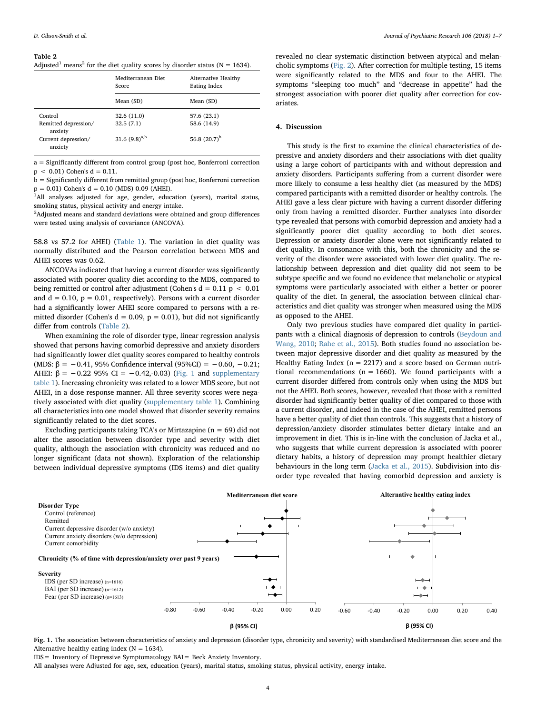#### <span id="page-3-0"></span>Table 2

Adjusted<sup>1</sup> means<sup>2</sup> for the diet quality scores by disorder status (N = 1634).

|                                 | Mediterranean Diet<br><b>Score</b> | Alternative Healthy<br>Eating Index |  |
|---------------------------------|------------------------------------|-------------------------------------|--|
|                                 | Mean (SD)                          | Mean (SD)                           |  |
| Control                         | 32.6 (11.0)                        | 57.6 (23.1)                         |  |
| Remitted depression/<br>anxiety | 32.5(7.1)                          | 58.6 (14.9)                         |  |
| Current depression/<br>anxiety  | 31.6 $(9.8)^{a,b}$                 | 56.8 $(20.7)^{b}$                   |  |

a = Significantly different from control group (post hoc, Bonferroni correction  $p < 0.01$ ) Cohen's  $d = 0.11$ .

b = Significantly different from remitted group (post hoc, Bonferroni correction  $p = 0.01$ ) Cohen's  $d = 0.10$  (MDS) 0.09 (AHEI).

<sup>1</sup>All analyses adjusted for age, gender, education (years), marital status, smoking status, physical activity and energy intake.

 $2$ Adjusted means and standard deviations were obtained and group differences were tested using analysis of covariance (ANCOVA).

58.8 vs 57.2 for AHEI) ([Table 1](#page-2-0)). The variation in diet quality was normally distributed and the Pearson correlation between MDS and AHEI scores was 0.62.

ANCOVAs indicated that having a current disorder was significantly associated with poorer quality diet according to the MDS, compared to being remitted or control after adjustment (Cohen's  $d = 0.11$  p < 0.01 and  $d = 0.10$ ,  $p = 0.01$ , respectively). Persons with a current disorder had a significantly lower AHEI score compared to persons with a remitted disorder (Cohen's  $d = 0.09$ ,  $p = 0.01$ ), but did not significantly differ from controls ([Table 2](#page-3-0)).

When examining the role of disorder type, linear regression analysis showed that persons having comorbid depressive and anxiety disorders had significantly lower diet quality scores compared to healthy controls (MDS:  $\beta = -0.41$ , 95% Confidence interval (95%CI) = -0.60, -0.21; AHEI:  $β = -0.22$  95% CI = -0.42,-0.03) ([Fig. 1](#page-3-1) and supplementary table 1). Increasing chronicity was related to a lower MDS score, but not AHEI, in a dose response manner. All three severity scores were negatively associated with diet quality (supplementary table 1). Combining all characteristics into one model showed that disorder severity remains significantly related to the diet scores.

Excluding participants taking TCA's or Mirtazapine ( $n = 69$ ) did not alter the association between disorder type and severity with diet quality, although the association with chronicity was reduced and no longer significant (data not shown). Exploration of the relationship between individual depressive symptoms (IDS items) and diet quality

revealed no clear systematic distinction between atypical and melancholic symptoms ([Fig. 2](#page-4-0)). After correction for multiple testing, 15 items were significantly related to the MDS and four to the AHEI. The symptoms "sleeping too much" and "decrease in appetite" had the strongest association with poorer diet quality after correction for covariates.

## 4. Discussion

This study is the first to examine the clinical characteristics of depressive and anxiety disorders and their associations with diet quality using a large cohort of participants with and without depression and anxiety disorders. Participants suffering from a current disorder were more likely to consume a less healthy diet (as measured by the MDS) compared participants with a remitted disorder or healthy controls. The AHEI gave a less clear picture with having a current disorder differing only from having a remitted disorder. Further analyses into disorder type revealed that persons with comorbid depression and anxiety had a significantly poorer diet quality according to both diet scores. Depression or anxiety disorder alone were not significantly related to diet quality. In consonance with this, both the chronicity and the severity of the disorder were associated with lower diet quality. The relationship between depression and diet quality did not seem to be subtype specific and we found no evidence that melancholic or atypical symptoms were particularly associated with either a better or poorer quality of the diet. In general, the association between clinical characteristics and diet quality was stronger when measured using the MDS as opposed to the AHEI.

Only two previous studies have compared diet quality in participants with a clinical diagnosis of depression to controls [\(Beydoun and](#page-5-13) [Wang, 2010;](#page-5-13) [Rahe et al., 2015](#page-6-25)). Both studies found no association between major depressive disorder and diet quality as measured by the Healthy Eating Index ( $n = 2217$ ) and a score based on German nutritional recommendations ( $n = 1660$ ). We found participants with a current disorder differed from controls only when using the MDS but not the AHEI. Both scores, however, revealed that those with a remitted disorder had significantly better quality of diet compared to those with a current disorder, and indeed in the case of the AHEI, remitted persons have a better quality of diet than controls. This suggests that a history of depression/anxiety disorder stimulates better dietary intake and an improvement in diet. This is in-line with the conclusion of Jacka et al., who suggests that while current depression is associated with poorer dietary habits, a history of depression may prompt healthier dietary behaviours in the long term [\(Jacka et al., 2015](#page-6-26)). Subdivision into disorder type revealed that having comorbid depression and anxiety is

<span id="page-3-1"></span>

Fig. 1. The association between characteristics of anxiety and depression (disorder type, chronicity and severity) with standardised Mediterranean diet score and the Alternative healthy eating index ( $N = 1634$ ).

IDS= Inventory of Depressive Symptomatology BAI= Beck Anxiety Inventory.

All analyses were Adjusted for age, sex, education (years), marital status, smoking status, physical activity, energy intake.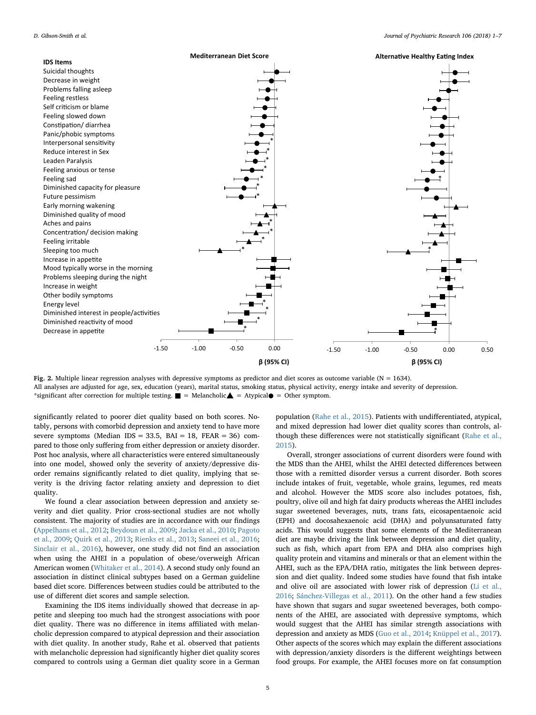<span id="page-4-0"></span>

Fig. 2. Multiple linear regression analyses with depressive symptoms as predictor and diet scores as outcome variable (N = 1634). All analyses are adjusted for age, sex, education (years), marital status, smoking status, physical activity, energy intake and severity of depression. \*significant after correction for multiple testing.  $\blacksquare$  = Melancholic $\blacktriangle$  = Atypical $\lozenge$  = Other symptom.

significantly related to poorer diet quality based on both scores. Notably, persons with comorbid depression and anxiety tend to have more severe symptoms (Median IDS = 33.5, BAI = 18, FEAR = 36) compared to those only suffering from either depression or anxiety disorder. Post hoc analysis, where all characteristics were entered simultaneously into one model, showed only the severity of anxiety/depressive disorder remains significantly related to diet quality, implying that severity is the driving factor relating anxiety and depression to diet quality.

We found a clear association between depression and anxiety severity and diet quality. Prior cross-sectional studies are not wholly consistent. The majority of studies are in accordance with our findings ([Appelhans et al., 2012;](#page-5-14) [Beydoun et al., 2009;](#page-5-15) [Jacka et al., 2010](#page-6-27); [Pagoto](#page-6-28) [et al., 2009;](#page-6-28) [Quirk et al., 2013](#page-6-29); [Rienks et al., 2013](#page-6-30); [Saneei et al., 2016](#page-6-31); [Sinclair et al., 2016](#page-6-32)), however, one study did not find an association when using the AHEI in a population of obese/overweigh African American women [\(Whitaker et al., 2014](#page-6-2)). A second study only found an association in distinct clinical subtypes based on a German guideline based diet score. Differences between studies could be attributed to the use of different diet scores and sample selection.

Examining the IDS items individually showed that decrease in appetite and sleeping too much had the strongest associations with poor diet quality. There was no difference in items affiliated with melancholic depression compared to atypical depression and their association with diet quality. In another study, Rahe et al. observed that patients with melancholic depression had significantly higher diet quality scores compared to controls using a German diet quality score in a German

population [\(Rahe et al., 2015](#page-6-25)). Patients with undifferentiated, atypical, and mixed depression had lower diet quality scores than controls, although these differences were not statistically significant ([Rahe et al.,](#page-6-25) [2015\)](#page-6-25).

Overall, stronger associations of current disorders were found with the MDS than the AHEI, whilst the AHEI detected differences between those with a remitted disorder versus a current disorder. Both scores include intakes of fruit, vegetable, whole grains, legumes, red meats and alcohol. However the MDS score also includes potatoes, fish, poultry, olive oil and high fat dairy products whereas the AHEI includes sugar sweetened beverages, nuts, trans fats, eicosapentaenoic acid (EPH) and docosahexaenoic acid (DHA) and polyunsaturated fatty acids. This would suggests that some elements of the Mediterranean diet are maybe driving the link between depression and diet quality, such as fish, which apart from EPA and DHA also comprises high quality protein and vitamins and minerals or that an element within the AHEI, such as the EPA/DHA ratio, mitigates the link between depression and diet quality. Indeed some studies have found that fish intake and olive oil are associated with lower risk of depression [\(Li et al.,](#page-6-33) [2016;](#page-6-33) [Sánchez-Villegas](#page-6-34) et al., 2011). On the other hand a few studies have shown that sugars and sugar sweetened beverages, both components of the AHEI, are associated with depressive symptoms, which would suggest that the AHEI has similar strength associations with depression and anxiety as MDS ([Guo et al., 2014;](#page-6-35) [Knüppel et al., 2017](#page-6-36)). Other aspects of the scores which may explain the different associations with depression/anxiety disorders is the different weightings between food groups. For example, the AHEI focuses more on fat consumption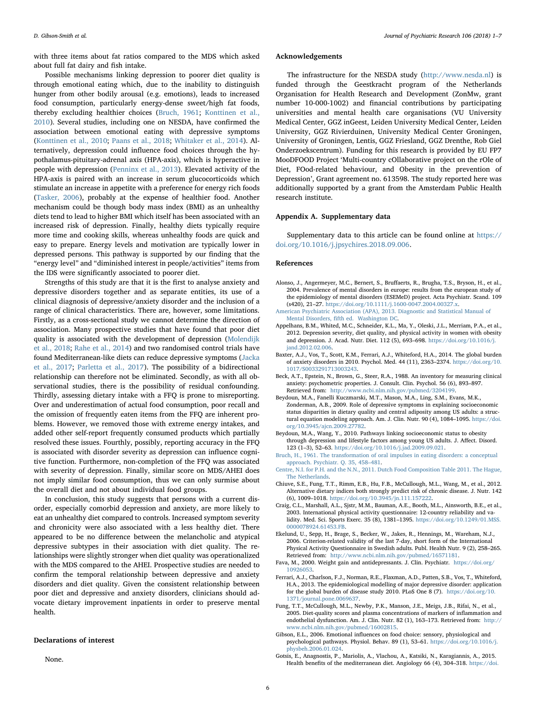with three items about fat ratios compared to the MDS which asked about full fat dairy and fish intake.

Possible mechanisms linking depression to poorer diet quality is through emotional eating which, due to the inability to distinguish hunger from other bodily arousal (e.g. emotions), leads to increased food consumption, particularly energy-dense sweet/high fat foods, thereby excluding healthier choices [\(Bruch, 1961](#page-5-16); [Konttinen et al.,](#page-6-37) [2010\)](#page-6-37). Several studies, including one on NESDA, have confirmed the association between emotional eating with depressive symptoms ([Konttinen et al., 2010](#page-6-37); [Paans et al., 2018;](#page-6-38) [Whitaker et al., 2014](#page-6-2)). Alternatively, depression could influence food choices through the hypothalamus-pituitary-adrenal axis (HPA-axis), which is hyperactive in people with depression ([Penninx et al., 2013\)](#page-6-0). Elevated activity of the HPA-axis is paired with an increase in serum glucocorticoids which stimulate an increase in appetite with a preference for energy rich foods ([Tasker, 2006](#page-6-39)), probably at the expense of healthier food. Another mechanism could be though body mass index (BMI) as an unhealthy diets tend to lead to higher BMI which itself has been associated with an increased risk of depression. Finally, healthy diets typically require more time and cooking skills, whereas unhealthy foods are quick and easy to prepare. Energy levels and motivation are typically lower in depressed persons. This pathway is supported by our finding that the "energy level" and "diminished interest in people/activities" items from the IDS were significantly associated to poorer diet.

Strengths of this study are that it is the first to analyse anxiety and depressive disorders together and as separate entities, its use of a clinical diagnosis of depressive/anxiety disorder and the inclusion of a range of clinical characteristics. There are, however, some limitations. Firstly, as a cross-sectional study we cannot determine the direction of association. Many prospective studies that have found that poor diet quality is associated with the development of depression [\(Molendijk](#page-6-6) [et al., 2018](#page-6-6); [Rahe et al., 2014](#page-6-40)) and two randomised control trials have found Mediterranean-like diets can reduce depressive symptoms ([Jacka](#page-6-7) [et al., 2017](#page-6-7); [Parletta et al., 2017](#page-6-8)). The possibility of a bidirectional relationship can therefore not be eliminated. Secondly, as with all observational studies, there is the possibility of residual confounding. Thirdly, assessing dietary intake with a FFQ is prone to misreporting. Over and underestimation of actual food consumption, poor recall and the omission of frequently eaten items from the FFQ are inherent problems. However, we removed those with extreme energy intakes, and added other self-report frequently consumed products which partially resolved these issues. Fourthly, possibly, reporting accuracy in the FFQ is associated with disorder severity as depression can influence cognitive function. Furthermore, non-completion of the FFQ was associated with severity of depression. Finally, similar score on MDS/AHEI does not imply similar food consumption, thus we can only surmise about the overall diet and not about individual food groups.

In conclusion, this study suggests that persons with a current disorder, especially comorbid depression and anxiety, are more likely to eat an unhealthy diet compared to controls. Increased symptom severity and chronicity were also associated with a less healthy diet. There appeared to be no difference between the melancholic and atypical depressive subtypes in their association with diet quality. The relationships were slightly stronger when diet quality was operationalized with the MDS compared to the AHEI. Prospective studies are needed to confirm the temporal relationship between depressive and anxiety disorders and diet quality. Given the consistent relationship between poor diet and depressive and anxiety disorders, clinicians should advocate dietary improvement inpatients in order to preserve mental health.

## Declarations of interest

None.

## Acknowledgements

The infrastructure for the NESDA study (<http://www.nesda.nl>) is funded through the Geestkracht program of the Netherlands Organisation for Health Research and Development (ZonMw, grant number 10-000-1002) and financial contributions by participating universities and mental health care organisations (VU University Medical Center, GGZ inGeest, Leiden University Medical Center, Leiden University, GGZ Rivierduinen, University Medical Center Groningen, University of Groningen, Lentis, GGZ Friesland, GGZ Drenthe, Rob Giel Onderzoekscentrum). Funding for this research is provided by EU FP7 MooDFOOD Project 'Multi-country cOllaborative project on the rOle of Diet, FOod-related behaviour, and Obesity in the prevention of Depression', Grant agreement no. 613598. The study reported here was additionally supported by a grant from the Amsterdam Public Health research institute.

# Appendix A. Supplementary data

Supplementary data to this article can be found online at [https://](https://doi.org/10.1016/j.jpsychires.2018.09.006) [doi.org/10.1016/j.jpsychires.2018.09.006](https://doi.org/10.1016/j.jpsychires.2018.09.006).

## References

- <span id="page-5-1"></span>Alonso, J., Angermeyer, M.C., Bernert, S., Bruffaerts, R., Brugha, T.S., Bryson, H., et al., 2004. Prevalence of mental disorders in europe: results from the european study of the epidemiology of mental disorders (ESEMeD) project. Acta Psychiatr. Scand. 109 (s420), 21–27. <https://doi.org/10.1111/j.1600-0047.2004.00327.x>.
- <span id="page-5-4"></span>[American Psychiatric Association \(APA\), 2013. Diagnostic and Statistical Manual of](http://refhub.elsevier.com/S0022-3956(18)30820-3/sref2) Mental Disorders, fi[fth ed. Washington DC.](http://refhub.elsevier.com/S0022-3956(18)30820-3/sref2)
- <span id="page-5-14"></span>Appelhans, B.M., Whited, M.C., Schneider, K.L., Ma, Y., Oleski, J.L., Merriam, P.A., et al., 2012. Depression severity, diet quality, and physical activity in women with obesity and depression. J. Acad. Nutr. Diet. 112 (5), 693–698. [https://doi.org/10.1016/j.](https://doi.org/10.1016/j.jand.2012.02.006) iand.2012.02.006
- <span id="page-5-2"></span>Baxter, A.J., Vos, T., Scott, K.M., Ferrari, A.J., Whiteford, H.A., 2014. The global burden of anxiety disorders in 2010. Psychol. Med. 44 (11), 2363–2374. [https://doi.org/10.](https://doi.org/10.1017/S0033291713003243) [1017/S0033291713003243.](https://doi.org/10.1017/S0033291713003243)
- <span id="page-5-5"></span>Beck, A.T., Epstein, N., Brown, G., Steer, R.A., 1988. An inventory for measuring clinical anxiety: psychometric properties. J. Consult. Clin. Psychol. 56 (6), 893–897. Retrieved from: [http://www.ncbi.nlm.nih.gov/pubmed/3204199.](http://www.ncbi.nlm.nih.gov/pubmed/3204199)
- <span id="page-5-15"></span>Beydoun, M.A., Fanelli Kuczmarski, M.T., Mason, M.A., Ling, S.M., Evans, M.K., Zonderman, A.B., 2009. Role of depressive symptoms in explaining socioeconomic status disparities in dietary quality and central adiposity among US adults: a structural equation modeling approach. Am. J. Clin. Nutr. 90 (4), 1084–1095. [https://doi.](https://doi.org/10.3945/ajcn.2009.27782) [org/10.3945/ajcn.2009.27782](https://doi.org/10.3945/ajcn.2009.27782).
- <span id="page-5-13"></span>Beydoun, M.A., Wang, Y., 2010. Pathways linking socioeconomic status to obesity through depression and lifestyle factors among young US adults. J. Affect. Disord. 123 (1–3), 52–63. [https://doi.org/10.1016/j.jad.2009.09.021.](https://doi.org/10.1016/j.jad.2009.09.021)
- <span id="page-5-16"></span>[Bruch, H., 1961. The transformation of oral impulses in eating disorders: a conceptual](http://refhub.elsevier.com/S0022-3956(18)30820-3/sref8) [approach. Psychiatr. Q. 35, 458](http://refhub.elsevier.com/S0022-3956(18)30820-3/sref8)–481.
- <span id="page-5-6"></span>[Centre, N.I. for P.H. and the N.N., 2011. Dutch Food Composition Table 2011. The Hague,](http://refhub.elsevier.com/S0022-3956(18)30820-3/sref9) [The Netherlands](http://refhub.elsevier.com/S0022-3956(18)30820-3/sref9).
- <span id="page-5-7"></span>Chiuve, S.E., Fung, T.T., Rimm, E.B., Hu, F.B., McCullough, M.L., Wang, M., et al., 2012. Alternative dietary indices both strongly predict risk of chronic disease. J. Nutr. 142 (6), 1009–1018. [https://doi.org/10.3945/jn.111.157222.](https://doi.org/10.3945/jn.111.157222)
- <span id="page-5-11"></span>Craig, C.L., Marshall, A.L., Sjstr, M.M., Bauman, A.E., Booth, M.L., Ainsworth, B.E., et al., 2003. International physical activity questionnaire: 12-country reliability and validity. Med. Sci. Sports Exerc. 35 (8), 1381–1395. [https://doi.org/10.1249/01.MSS.](https://doi.org/10.1249/01.MSS.0000078924.61453.FB) [0000078924.61453.FB](https://doi.org/10.1249/01.MSS.0000078924.61453.FB).
- <span id="page-5-10"></span>Ekelund, U., Sepp, H., Brage, S., Becker, W., Jakes, R., Hennings, M., Wareham, N.J., 2006. Criterion-related validity of the last 7-day, short form of the International Physical Activity Questionnaire in Swedish adults. Publ. Health Nutr. 9 (2), 258–265. Retrieved from: <http://www.ncbi.nlm.nih.gov/pubmed/16571181>.
- <span id="page-5-12"></span>Fava, M., 2000. Weight gain and antidepressants. J. Clin. Psychiatr. [https://doi.org/](https://doi.org/10926053) [10926053](https://doi.org/10926053).
- <span id="page-5-0"></span>Ferrari, A.J., Charlson, F.J., Norman, R.E., Flaxman, A.D., Patten, S.B., Vos, T., Whiteford, H.A., 2013. The epidemiological modelling of major depressive disorder: application for the global burden of disease study 2010. PLoS One 8 (7). [https://doi.org/10.](https://doi.org/10.1371/journal.pone.0069637) [1371/journal.pone.0069637.](https://doi.org/10.1371/journal.pone.0069637)
- <span id="page-5-9"></span>Fung, T.T., McCullough, M.L., Newby, P.K., Manson, J.E., Meigs, J.B., Rifai, N., et al., 2005. Diet-quality scores and plasma concentrations of markers of inflammation and endothelial dysfunction. Am. J. Clin. Nutr. 82 (1), 163–173. Retrieved from: [http://](http://www.ncbi.nlm.nih.gov/pubmed/16002815) [www.ncbi.nlm.nih.gov/pubmed/16002815.](http://www.ncbi.nlm.nih.gov/pubmed/16002815)
- <span id="page-5-3"></span>Gibson, E.L., 2006. Emotional influences on food choice: sensory, physiological and psychological pathways. Physiol. Behav. 89 (1), 53–61. [https://doi.org/10.1016/j.](https://doi.org/10.1016/j.physbeh.2006.01.024) [physbeh.2006.01.024.](https://doi.org/10.1016/j.physbeh.2006.01.024)
- <span id="page-5-8"></span>Gotsis, E., Anagnostis, P., Mariolis, A., Vlachou, A., Katsiki, N., Karagiannis, A., 2015. Health benefits of the mediterranean diet. Angiology 66 (4), 304–318. [https://doi.](https://doi.org/10.1177/0003319714532169)